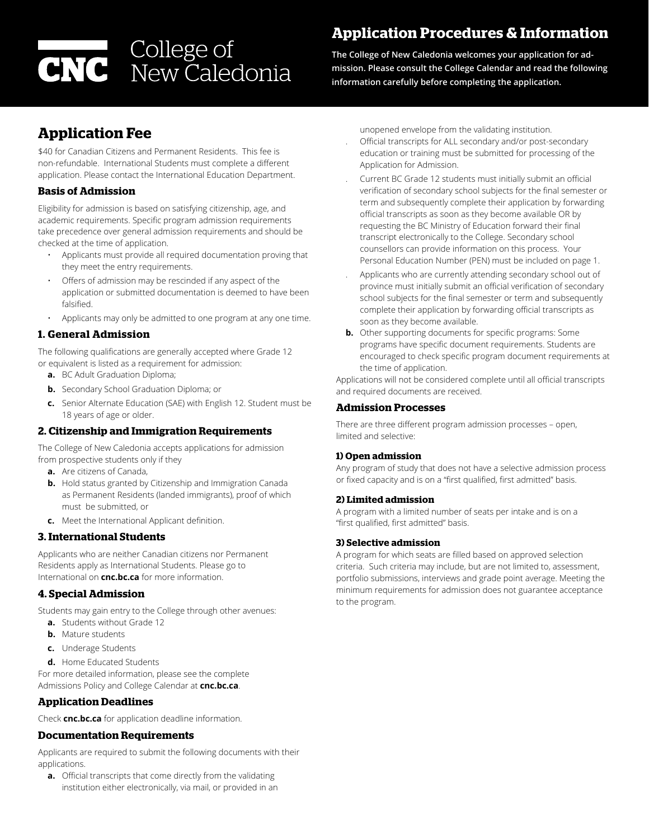# College of<br>CNC New Caledonia

# **Application Procedures & Information**

**The College of New Caledonia welcomes your application for admission. Please consult the College Calendar and read the following information carefully before completing the application.** 

# **Application Fee**

\$40 for Canadian Citizens and Permanent Residents. This fee is non-refundable. International Students must complete a different application. Please contact the International Education Department.

# **Basis of Admission**

Eligibility for admission is based on satisfying citizenship, age, and academic requirements. Specific program admission requirements take precedence over general admission requirements and should be checked at the time of application.

- Applicants must provide all required documentation proving that they meet the entry requirements.
- Offers of admission may be rescinded if any aspect of the application or submitted documentation is deemed to have been falsified.
- Applicants may only be admitted to one program at any one time.

# **1. General Admission**

The following qualifications are generally accepted where Grade 12 or equivalent is listed as a requirement for admission:

- **a.** BC Adult Graduation Diploma;
- **b.** Secondary School Graduation Diploma; or
- **c.** Senior Alternate Education (SAE) with English 12. Student must be 18 years of age or older.

# **2. Citizenship and Immigration Requirements**

The College of New Caledonia accepts applications for admission from prospective students only if they

- **a.** Are citizens of Canada,
- **b.** Hold status granted by Citizenship and Immigration Canada as Permanent Residents (landed immigrants), proof of which must be submitted, or
- **c.** Meet the International Applicant definition.

# **3. International Students**

Applicants who are neither Canadian citizens nor Permanent Residents apply as International Students. Please go to International on **cnc.bc.ca** for more information.

# **4. Special Admission**

Students may gain entry to the College through other avenues: **a.** Students without Grade 12

- **b.** Mature students
- **c.** Underage Students
- **d.** Home Educated Students

For more detailed information, please see the complete Admissions Policy and College Calendar at **[cnc.bc.ca](http://cnc.bc.ca)**.

# **Application Deadlines**

Check **[cnc.bc.ca](http://cnc.bc.ca)** for application deadline information.

# **Documentation Requirements**

Applicants are required to submit the following documents with their applications.

**a.** Official transcripts that come directly from the validating institution either electronically, via mail, or provided in an unopened envelope from the validating institution.

- . Official transcripts for ALL secondary and/or post-secondary education or training must be submitted for processing of the Application for Admission.
- . Current BC Grade 12 students must initially submit an official verification of secondary school subjects for the final semester or term and subsequently complete their application by forwarding official transcripts as soon as they become available OR by requesting the BC Ministry of Education forward their final transcript electronically to the College. Secondary school counsellors can provide information on this process. Your Personal Education Number (PEN) must be included on page 1.
- . Applicants who are currently attending secondary school out of province must initially submit an official verification of secondary school subjects for the final semester or term and subsequently complete their application by forwarding official transcripts as soon as they become available.
- **b.** Other supporting documents for specific programs: Some programs have specific document requirements. Students are encouraged to check specific program document requirements at the time of application.

Applications will not be considered complete until all official transcripts and required documents are received.

# **Admission Processes**

There are three different program admission processes – open, limited and selective:

# **1) Open admission**

Any program of study that does not have a selective admission process or fixed capacity and is on a "first qualified, first admitted" basis.

# **2) Limited admission**

A program with a limited number of seats per intake and is on a "first qualified, first admitted" basis.

# **3) Selective admission**

A program for which seats are filled based on approved selection criteria. Such criteria may include, but are not limited to, assessment, portfolio submissions, interviews and grade point average. Meeting the minimum requirements for admission does not guarantee acceptance to the program.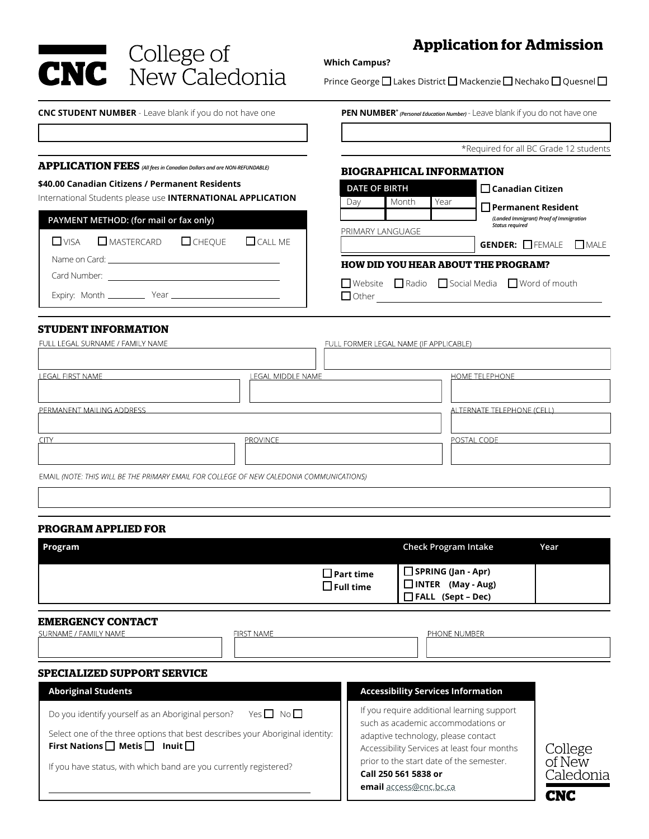**CNC** College of<br> **CNC** New Caledonia

# **Application for Admission**

**Which Campus?** 

Prince George  $\square$  Lakes District  $\square$  Mackenzie  $\square$  Nechako  $\square$  Quesnel  $\square$ 

**CNC STUDENT NUMBER** - Leave blank if you do not have one **PEN NUMBER\*** *(Personal Education Number)*- Leave blank if you do not have one

\*Required for all BC Grade 12 students

 **Canadian Citizen Permanent Resident** *(Landed Immigrant) Proof of Immigration Status required*

## **APPLICATION FEES** *(All fees in Canadian Dollars and are NON-REFUNDABLE)*

## **\$40.00 Canadian Citizens / Permanent Residents**

International Students please use **INTERNATIONAL APPLICATION**

| PAYMENT METHOD: (for mail or fax only) |                                                                                                                 |  |  |  |  |
|----------------------------------------|-----------------------------------------------------------------------------------------------------------------|--|--|--|--|
|                                        | $\Box$ VISA $\Box$ MASTERCARD $\Box$ CHEQUE $\Box$ CALL ME                                                      |  |  |  |  |
|                                        | Name on Card: University of the Card of the Card of the Card of the Card of the Card of the Card of the Card of |  |  |  |  |
|                                        |                                                                                                                 |  |  |  |  |
|                                        |                                                                                                                 |  |  |  |  |

# GENDER: FEMALE MALE

## **HOW DID YOU HEAR ABOUT THE PROGRAM?**

**BIOGRAPHICAL INFORMATION**

■ Website ■ Radio ■ Social Media ■ Word of mouth

PRIMARY LANGUAGE

**DATE OF BIRTH** 

Day | Month | Year

Other

## **STUDENT INFORMATION**

| FULL LEGAL SURNAME / FAMILY NAME                                                         |                   | FULL FORMER LEGAL NAME (IF APPLICABLE) |  |  |
|------------------------------------------------------------------------------------------|-------------------|----------------------------------------|--|--|
|                                                                                          |                   |                                        |  |  |
| <b>LEGAL FIRST NAME</b>                                                                  | LEGAL MIDDLE NAME | <b>HOME TELEPHONE</b>                  |  |  |
|                                                                                          |                   |                                        |  |  |
| PERMANENT MAILING ADDRESS                                                                |                   | ALTERNATE TELEPHONE (CELL)             |  |  |
|                                                                                          |                   |                                        |  |  |
| <b>CITY</b>                                                                              | <b>PROVINCE</b>   | POSTAL CODE                            |  |  |
|                                                                                          |                   |                                        |  |  |
| EMAIL (NOTE: THIS WILL BE THE PRIMARY EMAIL FOR COLLEGE OF NEW CALEDONIA COMMUNICATIONS) |                   |                                        |  |  |

## **PROGRAM APPLIED FOR**

| Program                                 | <b>Check Program Intake</b>                                                          | Year |
|-----------------------------------------|--------------------------------------------------------------------------------------|------|
| $\square$ Part time<br>$\Box$ Full time | $\Box$ SPRING (Jan - Apr)<br>$\Box$ INTER<br>(May - Aug)<br>$\Box$ FALL (Sept – Dec) |      |

## **EMERGENCY CONTACT**

| SURNAME / FAMILY NAME                                                         | FIRST NAME | PHONE NUMBER                                                                     |
|-------------------------------------------------------------------------------|------------|----------------------------------------------------------------------------------|
| <b>SPECIALIZED SUPPORT SERVICE</b>                                            |            |                                                                                  |
| <b>Aboriginal Students</b>                                                    |            | <b>Accessibility Services Information</b>                                        |
| Yes $\Box$ No $\Box$<br>Do you identify yourself as an Aboriginal person?     |            | If you require additional learning support<br>such as academic accommodations or |
| Select one of the three options that best describes your Aboriginal identity: |            | adantive technology, please contact                                              |

**First Nations | Metis | Inuit |** 

If you have status, with which band are you currently registered?

adaptive technology, please contact Accessibility Services at least four months prior to the start date of the semester. **Call 250 561 5838 or** 

**email** [access@cnc.bc.ca](mailto:access%40cnc.bc.ca?subject=Learning%20Support)